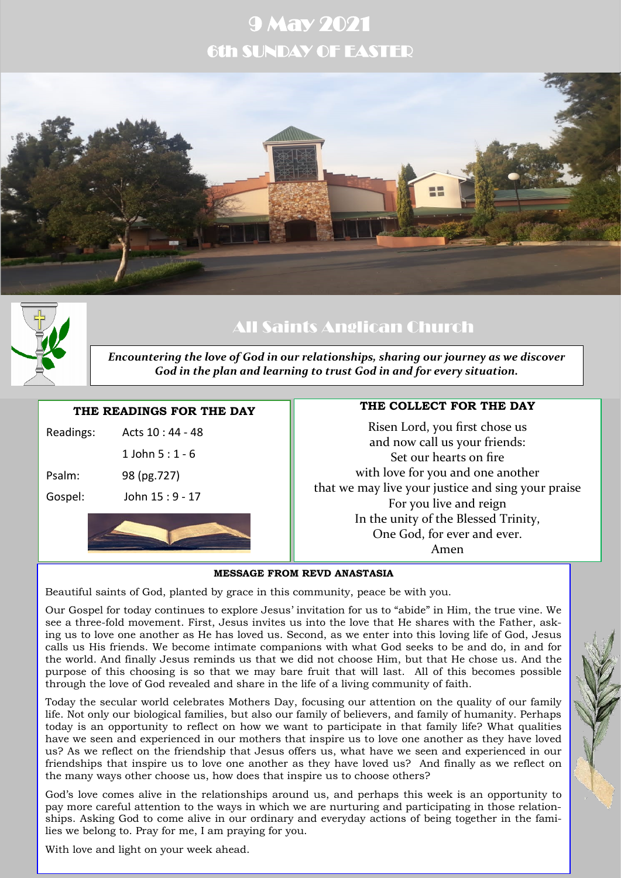# 9 May 2021 6th SUNDAY OF EASTER





# All Saints Anglican Church

*Encountering the love of God in our relationships, sharing our journey as we discover God in the plan and learning to trust God in and for every situation.*

### **THE READINGS FOR THE DAY**

| Gospel:   | John 15 : 9 - 17  |  |
|-----------|-------------------|--|
| Psalm:    | 98 (pg.727)       |  |
|           | 1 John 5 : 1 - 6  |  |
| Readings: | Acts $10:44 - 48$ |  |
|           |                   |  |

# **THE COLLECT FOR THE DAY**

Risen Lord, you first chose us and now call us your friends: Set our hearts on fire with love for you and one another that we may live your justice and sing your praise For you live and reign In the unity of the Blessed Trinity, One God, for ever and ever. Amen

#### **MESSAGE FROM REVD ANASTASIA**

Beautiful saints of God, planted by grace in this community, peace be with you.

Our Gospel for today continues to explore Jesus' invitation for us to "abide" in Him, the true vine. We see a three-fold movement. First, Jesus invites us into the love that He shares with the Father, asking us to love one another as He has loved us. Second, as we enter into this loving life of God, Jesus calls us His friends. We become intimate companions with what God seeks to be and do, in and for the world. And finally Jesus reminds us that we did not choose Him, but that He chose us. And the purpose of this choosing is so that we may bare fruit that will last. All of this becomes possible through the love of God revealed and share in the life of a living community of faith.

Today the secular world celebrates Mothers Day, focusing our attention on the quality of our family life. Not only our biological families, but also our family of believers, and family of humanity. Perhaps today is an opportunity to reflect on how we want to participate in that family life? What qualities have we seen and experienced in our mothers that inspire us to love one another as they have loved us? As we reflect on the friendship that Jesus offers us, what have we seen and experienced in our friendships that inspire us to love one another as they have loved us? And finally as we reflect on the many ways other choose us, how does that inspire us to choose others?

God's love comes alive in the relationships around us, and perhaps this week is an opportunity to pay more careful attention to the ways in which we are nurturing and participating in those relationships. Asking God to come alive in our ordinary and everyday actions of being together in the families we belong to. Pray for me, I am praying for you.

With love and light on your week ahead.